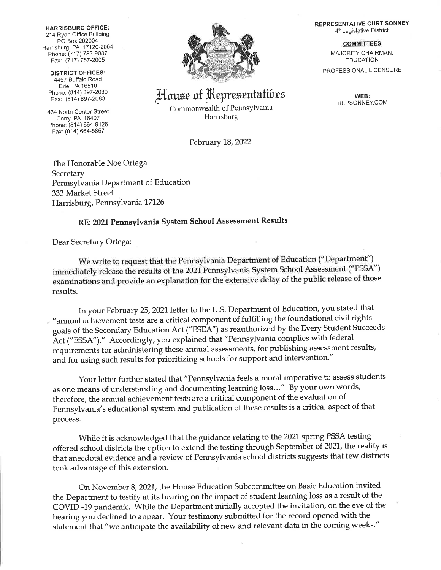HARRISBURG OFFICE: 214Ryan Office Building PO Box 202004 Harrisburg, PA 17 120-2004 Phone: (717) 783-9087 Fax: (717) 787-2005

DISTRICT OFFIGES: 4457 Buffalo Road Erie, PA 16510 Phone: (814) 897-2080

434 North Center Street Corry, PA 16407 Phone: (814) 664-9126 Fax: (814) 664-5857



House of Representatibes

Commonwealth of PennsYlvania Harrisburg

February 18,2022

The Honorable Noe Ortega **Secretary** Pennsylvania Departrnent of Education 333 Market Street Harrisburg, Pennsylvania 17126

## RE:202L Pennsylvania System School Assessment Results

Dear Secretary Ortega:

We write to request that the Pennsylvania Department of Education ("Department") immediately release the results of the 2021 Pennsylvania System School Assessment ("PSSA") examinations and provide an explanation for the extensive delay of the public release of those results.

In your February 25, 2021 letter to the U.S. Department of Education, you stated that "annual achievement tests are a critical component of fulfilling the foundational civil rights goals of the Secondary Education Act ("ESEA") as reauthorized by the Every Student Succeeds Act ("ESSA")." Accordingly, you explained that "Pennsylvania complies with federal requirements for administering these annual assessments, for publishing assessment results, and for using such results for prioritizing schools for support and intervention."

Your letter further stated that "Pennsylvania feels a moral imperative to assess sfudents as one means of understanding and documenting learning loss..." By your own words, therefore, the annual achievement tests are a critical component of the evaluation of Pennsylvania's educational system and publication of these results is a critical aspect of that Process.

While it is acknowledged that the guidance relating to the 2021 spring PSSA testing offered school districts the option to extend the testing through September of 2021, the reality is that anecdotal evidence and a review of Pennsylvania school districts suggests that few districts took advantage of this extension.

On November 8, 2021, the House Education Subcommittee on Basic Education invited the Department to testify at its hearing on the impact of student learning loss as a result of the COVID -19 pandemic. While the Department initially accepted the invitation, on the eve of the hearing you declined to appear. Your testimony submitted for the record opened with the statement that "we anticipate the availability of new and relevant data in the coming weeks."

REPRESENTATIVE CURT SONNEY 4'h Legislative District

**COMMITTEES** 

MAJORITY CHAIRMAN, EDUCATION PROFESSIONAL LICENSURE

> WEB: REPSONNEY.COM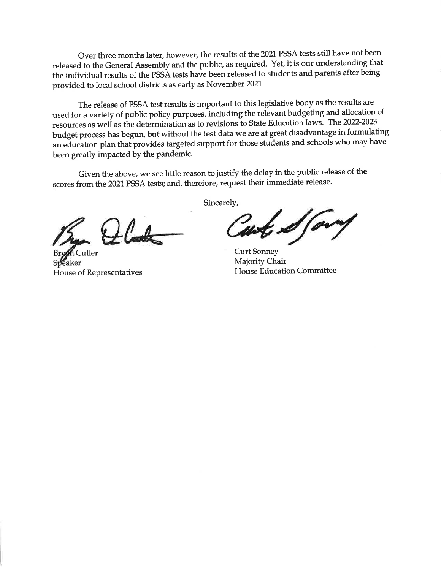Over three months later, however, the results of the 2021 PSSA tests still have not been released to the General Assembly and the public, as required. Yet, it is our understanding that the individual results of the PSSA tests have been released to students and parents after being provided to local school districts as early as November 2021.

The release of PSSA test results is important to this legislative body as the results are used for a variety of public policy purposes, including the relevant budgeting and allocation of resources as well as the determination as to revisions to State Education laws. The 2022-2023 budget process has begun, but without the test data we are at great disadvantage in formulating an education plan that provides targeted support for those students and schools who may have been greatly impacted by the pandemic.

Given the above, we see little reason to justify the delay in the public release of the scores from the 2021 PSSA tests; and, therefore, request their immediate release.

 $\text{L}_{\text{Cutler}}$ 

House of Representatives

Sincerely,

form  $\mathscr{A}_f$ 

Curt Sonney Majority Chair Flouse Education Committee